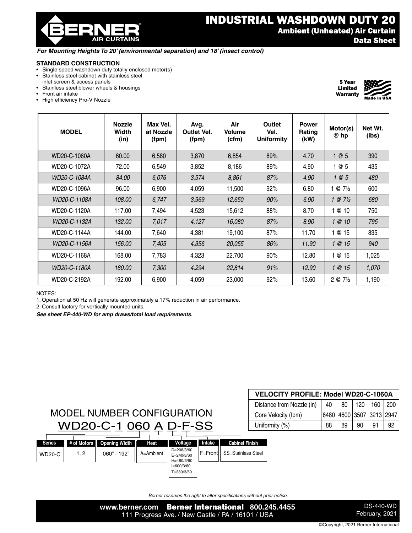® **AIR CURTAINS** 

## *For Mounting Heights To 20' (environmental separation) and 18' (insect control)*

## **STANDARD CONSTRUCTION**

- Single speed washdown duty totally enclosed motor(s)
- Stainless steel cabinet with stainless steel inlet screen & access panels
- Stainless steel blower wheels & housings
- Front air intake
- High efficiency Pro-V Nozzle

| <b>MODEL</b> | <b>Nozzle</b><br><b>Width</b><br>(in) | Max Vel.<br>at Nozzle<br>(fpm) | Avg.<br><b>Outlet Vel.</b><br>(fpm) | Air<br>Volume<br>(cfm) | Outlet<br>Vel.<br><b>Uniformity</b> | <b>Power</b><br>Rating<br>(kW) | Motor(s)<br>@ hp   | Net Wt.<br>(lbs) |
|--------------|---------------------------------------|--------------------------------|-------------------------------------|------------------------|-------------------------------------|--------------------------------|--------------------|------------------|
| WD20-C-1060A | 60.00                                 | 6,580                          | 3,870                               | 6,854                  | 89%                                 | 4.70                           | 1@5                | 390              |
| WD20-C-1072A | 72.00                                 | 6,549                          | 3,852                               | 8,186                  | 89%                                 | 4.90                           | 1@5                | 435              |
| WD20-C-1084A | 84.00                                 | 6,076                          | 3,574                               | 8,861                  | 87%                                 | 4.90                           | 1@5                | 480              |
| WD20-C-1096A | 96.00                                 | 6,900                          | 4,059                               | 11,500                 | 92%                                 | 6.80                           | $@7\frac{1}{2}$    | 600              |
| WD20-C-1108A | 108.00                                | 6,747                          | 3,969                               | 12,650                 | 90%                                 | 6.90                           | $@7\frac{1}{2}$    | 680              |
| WD20-C-1120A | 117.00                                | 7,494                          | 4,523                               | 15,612                 | 88%                                 | 8.70                           | @ 10               | 750              |
| WD20-C-1132A | 132.00                                | 7,017                          | 4,127                               | 16,080                 | 87%                                 | 8.90                           | $\circ$ 10         | 795              |
| WD20-C-1144A | 144.00                                | 7,640                          | 4,381                               | 19,100                 | 87%                                 | 11.70                          | 1 @ 15             | 835              |
| WD20-C-1156A | 156.00                                | 7,405                          | 4,356                               | 20,055                 | 86%                                 | 11.90                          | $\circ$ 15         | 940              |
| WD20-C-1168A | 168.00                                | 7,783                          | 4,323                               | 22,700                 | 90%                                 | 12.80                          | @ 15               | 1,025            |
| WD20-C-1180A | 180.00                                | 7,300                          | 4,294                               | 22,814                 | 91%                                 | 12.90                          | $\circ$ 15         | 1,070            |
| WD20-C-2192A | 192.00                                | 6,900                          | 4,059                               | 23,000                 | 92%                                 | 13.60                          | $2 @ 7\frac{1}{2}$ | 1,190            |

NOTES:

1. Operation at 50 Hz will generate approximately a 17% reduction in air performance.

2. Consult factory for vertically mounted units.

*See sheet EP-440-WD for amp draws/total load requirements.*

| MODEL NUMBER CONFIGURATION                                           |  |
|----------------------------------------------------------------------|--|
| WD20-C-1 060 A D-F-SS                                                |  |
| of Motors <b>Donning Width I</b><br>$H = H$<br><b><i>Maltana</i></b> |  |

| <b>VELOCITY PROFILE: Model WD20-C-1060A</b> |    |                          |             |    |    |  |  |  |  |  |
|---------------------------------------------|----|--------------------------|-------------|----|----|--|--|--|--|--|
| Distance from Nozzle (in)                   | 40 | 80                       | 120 160 200 |    |    |  |  |  |  |  |
| Core Velocity (fpm)                         |    | 6480 4600 3507 3213 2947 |             |    |    |  |  |  |  |  |
| Uniformity (%)                              | 88 | 89                       | 90          | 91 | 92 |  |  |  |  |  |

| <b>Series</b> | # of Motors | <b>Opening Width</b> | Heat      | Voltage                                    | Intake | <b>Cabinet Finish</b>         |
|---------------|-------------|----------------------|-----------|--------------------------------------------|--------|-------------------------------|
| <b>WD20-C</b> | 1, 2        | 060" - 192"          | A=Ambient | D=208/3/60<br>$E = 240/3/60$<br>H=480/3/60 |        | IF=FrontII SS=Stainless Steel |
|               |             |                      |           | $I=600/3/60$<br>T=380/3/50                 |        |                               |
|               |             |                      |           |                                            |        |                               |

*Berner reserves the right to alter specifications without prior notice.*

**www.berner.com** Berner International **800.245.4455** 111 Progress Ave. / New Castle / PA / 16101 / USA

DS-440-WD February, 2021



5 Year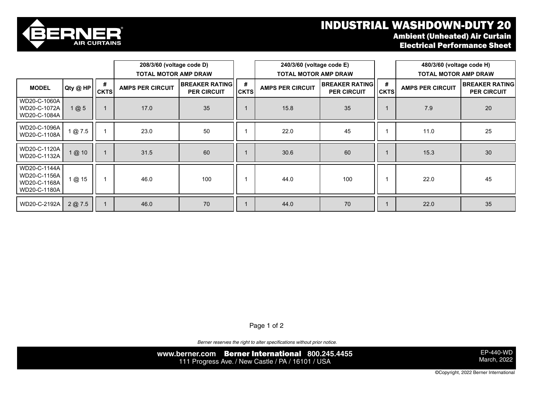## INDUSTRIAL WASHDOWN-DUTY 20



WD20-C-1180A

Ambient (Unheated) Air Curtain Electrical Performance Sheet

|                                                              |          |                  | 208/3/60 (voltage code D)<br><b>TOTAL MOTOR AMP DRAW</b> |                                             |                  | 240/3/60 (voltage code E)<br><b>TOTAL MOTOR AMP DRAW</b>               |     |                  | 480/3/60 (voltage code H)<br><b>TOTAL MOTOR AMP DRAW</b> |                                             |
|--------------------------------------------------------------|----------|------------------|----------------------------------------------------------|---------------------------------------------|------------------|------------------------------------------------------------------------|-----|------------------|----------------------------------------------------------|---------------------------------------------|
| <b>MODEL</b>                                                 | Qty @ HP | #<br><b>CKTS</b> | <b>AMPS PER CIRCUIT</b>                                  | <b>BREAKER RATING</b><br><b>PER CIRCUIT</b> | #<br><b>CKTS</b> | <b>BREAKER RATING</b><br><b>AMPS PER CIRCUIT</b><br><b>PER CIRCUIT</b> |     | #<br><b>CKTS</b> | <b>AMPS PER CIRCUIT</b>                                  | <b>BREAKER RATING</b><br><b>PER CIRCUIT</b> |
| WD20-C-1060A<br>WD20-C-1072A<br>WD20-C-1084A                 | 1@5      |                  | 17.0                                                     | 35                                          |                  | 15.8                                                                   | 35  |                  | 7.9                                                      | 20                                          |
| WD20-C-1096A<br>WD20-C-1108A                                 | 1@7.5    |                  | 23.0                                                     | 50                                          |                  | 22.0                                                                   | 45  |                  | 11.0                                                     | 25                                          |
| WD20-C-1120A<br>WD20-C-1132A                                 | 1@ 10    |                  | 31.5                                                     | 60                                          |                  | 30.6                                                                   | 60  |                  | 15.3                                                     | 30                                          |
| WD20-C-1144A<br>WD20-C-1156A<br>WD20-C-1168A<br>WD20-C-1180A | 1 @ 15   |                  | 46.0                                                     | 100                                         |                  | 44.0                                                                   | 100 |                  | 22.0                                                     | 45                                          |
| WD20-C-2192A                                                 | 2@7.5    |                  | 46.0                                                     | 70                                          |                  | 44.0                                                                   | 70  |                  | 22.0                                                     | 35                                          |

Page 1 of 2

Berner reserves the right to alter specifications without prior notice.

**www.berner.com** Berner International **800.245.4455** 111 Progress Ave. / New Castle / PA / 16101 / USA

EP-440-WD March, 2022

©Copyright, 2022 Berner International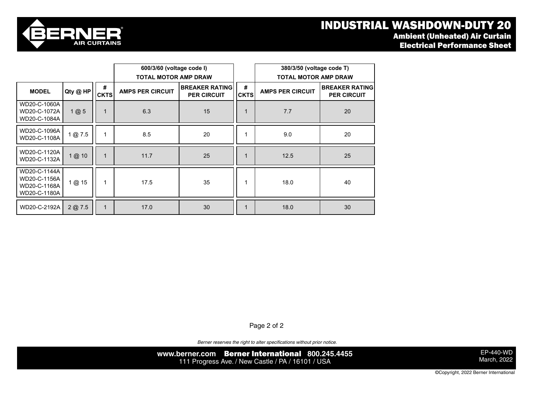## industrial washdown-duty 20 and 1 and 1  $\sim$  1 MDUSTRIAL WASHDOWN-DUTY 20





|                                                              |          |                  | 600/3/60 (voltage code I)<br><b>TOTAL MOTOR AMP DRAW</b>               |    |                  | 380/3/50 (voltage code T)<br><b>TOTAL MOTOR AMP DRAW</b> |                                             |  |
|--------------------------------------------------------------|----------|------------------|------------------------------------------------------------------------|----|------------------|----------------------------------------------------------|---------------------------------------------|--|
| <b>MODEL</b>                                                 | Qty @ HP | #<br><b>CKTS</b> | <b>BREAKER RATING</b><br><b>AMPS PER CIRCUIT</b><br><b>PER CIRCUIT</b> |    | #<br><b>CKTS</b> | <b>AMPS PER CIRCUIT</b>                                  | <b>BREAKER RATING</b><br><b>PER CIRCUIT</b> |  |
| WD20-C-1060A<br>WD20-C-1072A<br>WD20-C-1084A                 | 1@5      | $\mathbf 1$      | 6.3                                                                    | 15 |                  | 7.7                                                      | 20                                          |  |
| WD20-C-1096A<br>WD20-C-1108A                                 | 1@7.5    | 1                | 8.5                                                                    | 20 |                  | 9.0                                                      | 20                                          |  |
| WD20-C-1120A<br>WD20-C-1132A                                 | 1@ 10    | $\mathbf{1}$     | 11.7                                                                   | 25 |                  | 12.5                                                     | 25                                          |  |
| WD20-C-1144A<br>WD20-C-1156A<br>WD20-C-1168A<br>WD20-C-1180A | 1@ 15    | 1                | 17.5                                                                   | 35 |                  | 18.0                                                     | 40                                          |  |
| WD20-C-2192A                                                 | 2 @ 7.5  | $\mathbf 1$      | 17.0                                                                   | 30 |                  | 18.0                                                     | 30                                          |  |

Page 2 of 2

*Berner reserves the right to alter specifications without prior notice.*

**www.berner.com** Berner International **800.245.4455** 111 Progress Ave. / New Castle / PA / 16101 / USA

EP-440-WD March, 2022

©Copyright, 2022 Berner International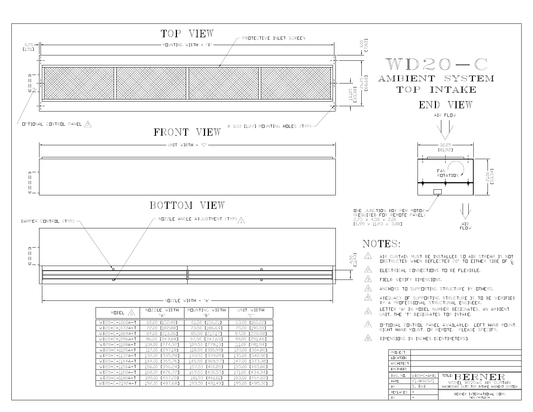